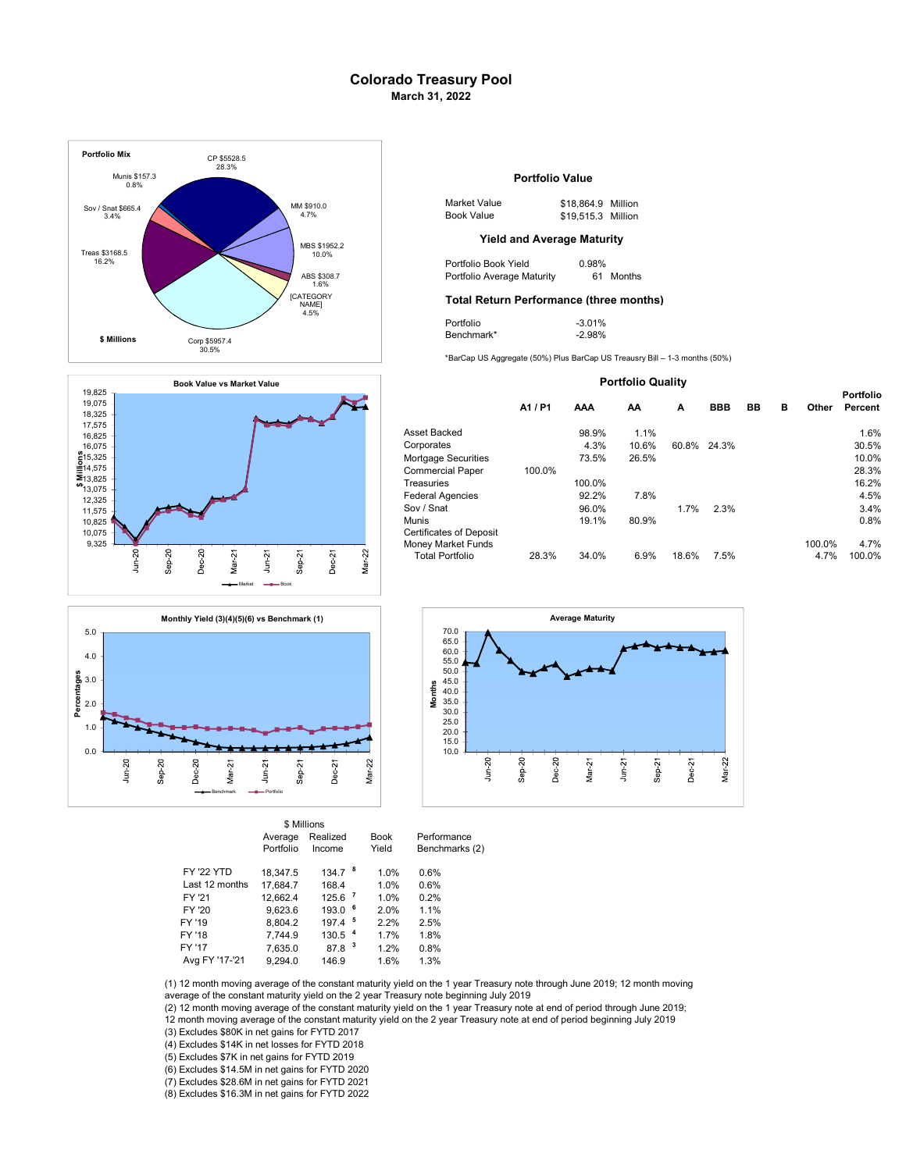# Colorado Treasury Pool March 31, 2022







|                   | Average<br>Portfolio | Realized<br>Income   | <b>Book</b><br>Yield | Performance<br>Benchmarks (2) |
|-------------------|----------------------|----------------------|----------------------|-------------------------------|
| <b>FY '22 YTD</b> | 18.347.5             | 134.7 <sup>8</sup>   | 1.0%                 | 0.6%                          |
| Last 12 months    | 17.684.7             | 168.4                | 1.0%                 | 0.6%                          |
| FY '21            | 12.662.4             | $125.6$ $^7$         | 1.0%                 | 0.2%                          |
| FY '20            | 9.623.6              | $193.0$ $6$          | 2.0%                 | 1.1%                          |
| FY '19            | 8,804.2              | $197.4$ <sup>5</sup> | 2.2%                 | 2.5%                          |
| FY '18            | 7.744.9              | 130.5 <sup>4</sup>   | 1.7%                 | 1.8%                          |
| FY '17            | 7,635.0              | 87.8 <sup>3</sup>    | 1.2%                 | 0.8%                          |
| Avg FY '17-'21    | 9.294.0              | 146.9                | 1.6%                 | 1.3%                          |
|                   |                      |                      |                      |                               |

\$ Millions

## Portfolio Value

| 1 \$910.0 | Market Value | \$18,864.9 Million |  |
|-----------|--------------|--------------------|--|
| 4.7%      | Book Value   | \$19,515.3 Million |  |

| Portfolio Book Yield       | 0.98% |           |
|----------------------------|-------|-----------|
| Portfolio Average Maturity |       | 61 Months |

### Total Return Performance (three months)

| Portfolio  | $-3.01%$ |
|------------|----------|
| Benchmark* | $-2.98%$ |

| <b>Portfolio Quality</b>                                                       |         |        |       |       |             |    |   |                |                             |
|--------------------------------------------------------------------------------|---------|--------|-------|-------|-------------|----|---|----------------|-----------------------------|
|                                                                                | A1 / P1 | AAA    | AA    | A     | <b>BBB</b>  | BB | в | Other          | <b>Portfolio</b><br>Percent |
| Asset Backed                                                                   |         | 98.9%  | 1.1%  |       |             |    |   |                | 1.6%                        |
| Corporates                                                                     |         | 4.3%   | 10.6% |       | 60.8% 24.3% |    |   |                | 30.5%                       |
| Mortgage Securities                                                            |         | 73.5%  | 26.5% |       |             |    |   |                | 10.0%                       |
| <b>Commercial Paper</b>                                                        | 100.0%  |        |       |       |             |    |   |                | 28.3%                       |
| Treasuries                                                                     |         | 100.0% |       |       |             |    |   |                | 16.2%                       |
| <b>Federal Agencies</b>                                                        |         | 92.2%  | 7.8%  |       |             |    |   |                | 4.5%                        |
| Sov / Snat                                                                     |         | 96.0%  |       | 1.7%  | 2.3%        |    |   |                | 3.4%                        |
| Munis                                                                          |         | 19.1%  | 80.9% |       |             |    |   |                | 0.8%                        |
| <b>Certificates of Deposit</b><br>Money Market Funds<br><b>Total Portfolio</b> | 28.3%   | 34.0%  | 6.9%  | 18.6% | 7.5%        |    |   | 100.0%<br>4.7% | 4.7%<br>100.0%              |
|                                                                                |         |        |       |       |             |    |   |                |                             |



(1) 12 month moving average of the constant maturity yield on the 1 year Treasury note through June 2019; 12 month moving average of the constant maturity yield on the 2 year Treasury note beginning July 2019

(2) 12 month moving average of the constant maturity yield on the 1 year Treasury note at end of period through June 2019;<br>12 month moving average of the constant maturity yield on the 2 year Treasury note at end of period

(3) Excludes \$80K in net gains for FYTD 2017

(4) Excludes \$14K in net losses for FYTD 2018

(5) Excludes \$7K in net gains for FYTD 2019

(6) Excludes \$14.5M in net gains for FYTD 2020

(7) Excludes \$28.6M in net gains for FYTD 2021

(8) Excludes \$16.3M in net gains for FYTD 2022